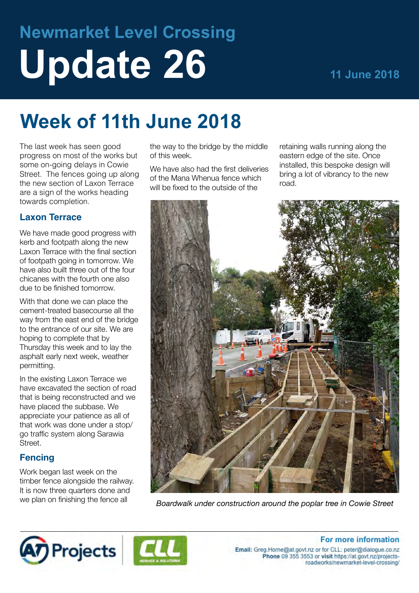# **Newmarket Level Crossing Update 26 11 June 2018**

## **Week of 11th June 2018**

The last week has seen good progress on most of the works but some on-going delays in Cowie Street. The fences going up along the new section of Laxon Terrace are a sign of the works heading towards completion.

#### **Laxon Terrace**

We have made good progress with kerb and footpath along the new Laxon Terrace with the final section of footpath going in tomorrow. We have also built three out of the four chicanes with the fourth one also due to be finished tomorrow.

With that done we can place the cement-treated basecourse all the way from the east end of the bridge to the entrance of our site. We are hoping to complete that by Thursday this week and to lay the asphalt early next week, weather permitting.

In the existing Laxon Terrace we have excavated the section of road that is being reconstructed and we have placed the subbase. We appreciate your patience as all of that work was done under a stop/ go traffic system along Sarawia Street.

#### **Fencing**

Work began last week on the timber fence alongside the railway. It is now three quarters done and we plan on finishing the fence all

the way to the bridge by the middle of this week.

We have also had the first deliveries of the Mana Whenua fence which will be fixed to the outside of the

retaining walls running along the eastern edge of the site. Once installed, this bespoke design will bring a lot of vibrancy to the new road.



*Boardwalk under construction around the poplar tree in Cowie Street*